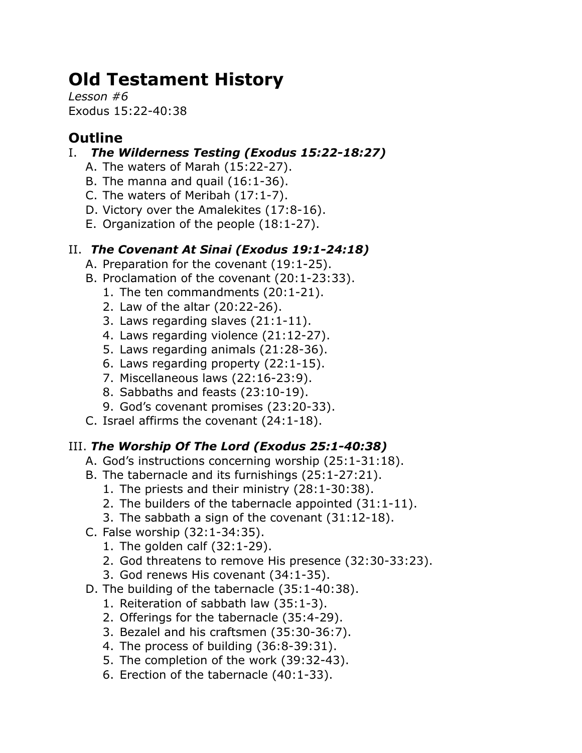# **Old Testament History**

*Lesson #6* Exodus 15:22-40:38

## **Outline**

- I. *The Wilderness Testing (Exodus 15:22-18:27)*
	- A. The waters of Marah (15:22-27).
	- B. The manna and quail  $(16:1-36)$ .
	- C. The waters of Meribah (17:1-7).
	- D. Victory over the Amalekites (17:8-16).
	- E. Organization of the people (18:1-27).

## II. *The Covenant At Sinai (Exodus 19:1-24:18)*

- A. Preparation for the covenant (19:1-25).
- B. Proclamation of the covenant (20:1-23:33).
	- 1. The ten commandments (20:1-21).
	- 2. Law of the altar (20:22-26).
	- 3. Laws regarding slaves (21:1-11).
	- 4. Laws regarding violence (21:12-27).
	- 5. Laws regarding animals (21:28-36).
	- 6. Laws regarding property (22:1-15).
	- 7. Miscellaneous laws (22:16-23:9).
	- 8. Sabbaths and feasts (23:10-19).
	- 9. God's covenant promises (23:20-33).
- C. Israel affirms the covenant (24:1-18).

## III. *The Worship Of The Lord (Exodus 25:1-40:38)*

- A. God's instructions concerning worship (25:1-31:18).
- B. The tabernacle and its furnishings (25:1-27:21).
	- 1. The priests and their ministry (28:1-30:38).
	- 2. The builders of the tabernacle appointed (31:1-11).
	- 3. The sabbath a sign of the covenant (31:12-18).
- C. False worship (32:1-34:35).
	- 1. The golden calf (32:1-29).
	- 2. God threatens to remove His presence (32:30-33:23).
	- 3. God renews His covenant (34:1-35).
- D. The building of the tabernacle (35:1-40:38).
	- 1. Reiteration of sabbath law (35:1-3).
	- 2. Offerings for the tabernacle (35:4-29).
	- 3. Bezalel and his craftsmen (35:30-36:7).
	- 4. The process of building (36:8-39:31).
	- 5. The completion of the work (39:32-43).
	- 6. Erection of the tabernacle (40:1-33).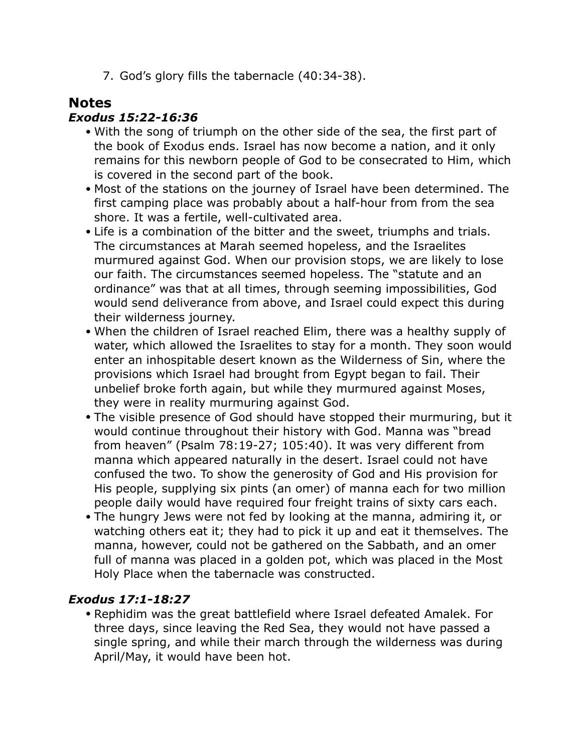7. God's glory fills the tabernacle (40:34-38).

### **Notes**

#### *Exodus 15:22-16:36*

- With the song of triumph on the other side of the sea, the first part of the book of Exodus ends. Israel has now become a nation, and it only remains for this newborn people of God to be consecrated to Him, which is covered in the second part of the book.
- Most of the stations on the journey of Israel have been determined. The first camping place was probably about a half-hour from from the sea shore. It was a fertile, well-cultivated area.
- Life is a combination of the bitter and the sweet, triumphs and trials. The circumstances at Marah seemed hopeless, and the Israelites murmured against God. When our provision stops, we are likely to lose our faith. The circumstances seemed hopeless. The "statute and an ordinance" was that at all times, through seeming impossibilities, God would send deliverance from above, and Israel could expect this during their wilderness journey.
- When the children of Israel reached Elim, there was a healthy supply of water, which allowed the Israelites to stay for a month. They soon would enter an inhospitable desert known as the Wilderness of Sin, where the provisions which Israel had brought from Egypt began to fail. Their unbelief broke forth again, but while they murmured against Moses, they were in reality murmuring against God.
- The visible presence of God should have stopped their murmuring, but it would continue throughout their history with God. Manna was "bread from heaven" (Psalm 78:19-27; 105:40). It was very different from manna which appeared naturally in the desert. Israel could not have confused the two. To show the generosity of God and His provision for His people, supplying six pints (an omer) of manna each for two million people daily would have required four freight trains of sixty cars each.
- The hungry Jews were not fed by looking at the manna, admiring it, or watching others eat it; they had to pick it up and eat it themselves. The manna, however, could not be gathered on the Sabbath, and an omer full of manna was placed in a golden pot, which was placed in the Most Holy Place when the tabernacle was constructed.

#### *Exodus 17:1-18:27*

• Rephidim was the great battlefield where Israel defeated Amalek. For three days, since leaving the Red Sea, they would not have passed a single spring, and while their march through the wilderness was during April/May, it would have been hot.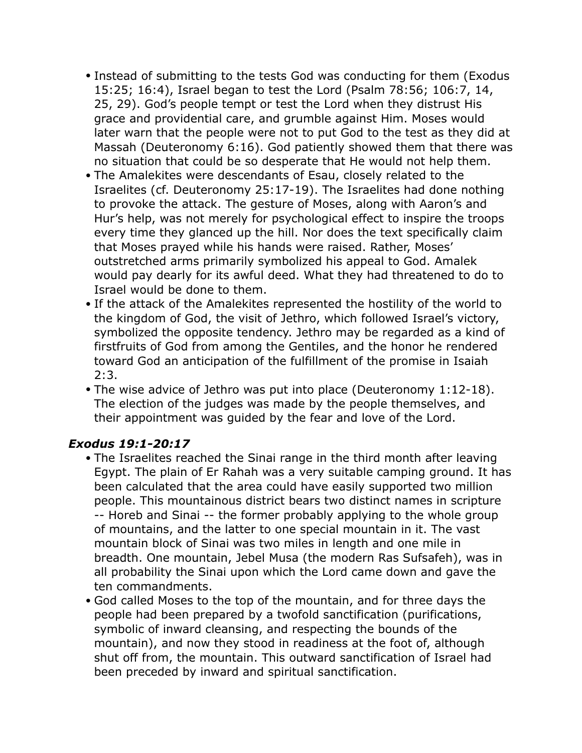- Instead of submitting to the tests God was conducting for them (Exodus 15:25; 16:4), Israel began to test the Lord (Psalm 78:56; 106:7, 14, 25, 29). God's people tempt or test the Lord when they distrust His grace and providential care, and grumble against Him. Moses would later warn that the people were not to put God to the test as they did at Massah (Deuteronomy 6:16). God patiently showed them that there was no situation that could be so desperate that He would not help them.
- The Amalekites were descendants of Esau, closely related to the Israelites (cf. Deuteronomy 25:17-19). The Israelites had done nothing to provoke the attack. The gesture of Moses, along with Aaron's and Hur's help, was not merely for psychological effect to inspire the troops every time they glanced up the hill. Nor does the text specifically claim that Moses prayed while his hands were raised. Rather, Moses' outstretched arms primarily symbolized his appeal to God. Amalek would pay dearly for its awful deed. What they had threatened to do to Israel would be done to them.
- If the attack of the Amalekites represented the hostility of the world to the kingdom of God, the visit of Jethro, which followed Israel's victory, symbolized the opposite tendency. Jethro may be regarded as a kind of firstfruits of God from among the Gentiles, and the honor he rendered toward God an anticipation of the fulfillment of the promise in Isaiah 2:3.
- The wise advice of Jethro was put into place (Deuteronomy 1:12-18). The election of the judges was made by the people themselves, and their appointment was guided by the fear and love of the Lord.

#### *Exodus 19:1-20:17*

- The Israelites reached the Sinai range in the third month after leaving Egypt. The plain of Er Rahah was a very suitable camping ground. It has been calculated that the area could have easily supported two million people. This mountainous district bears two distinct names in scripture -- Horeb and Sinai -- the former probably applying to the whole group of mountains, and the latter to one special mountain in it. The vast mountain block of Sinai was two miles in length and one mile in breadth. One mountain, Jebel Musa (the modern Ras Sufsafeh), was in all probability the Sinai upon which the Lord came down and gave the ten commandments.
- God called Moses to the top of the mountain, and for three days the people had been prepared by a twofold sanctification (purifications, symbolic of inward cleansing, and respecting the bounds of the mountain), and now they stood in readiness at the foot of, although shut off from, the mountain. This outward sanctification of Israel had been preceded by inward and spiritual sanctification.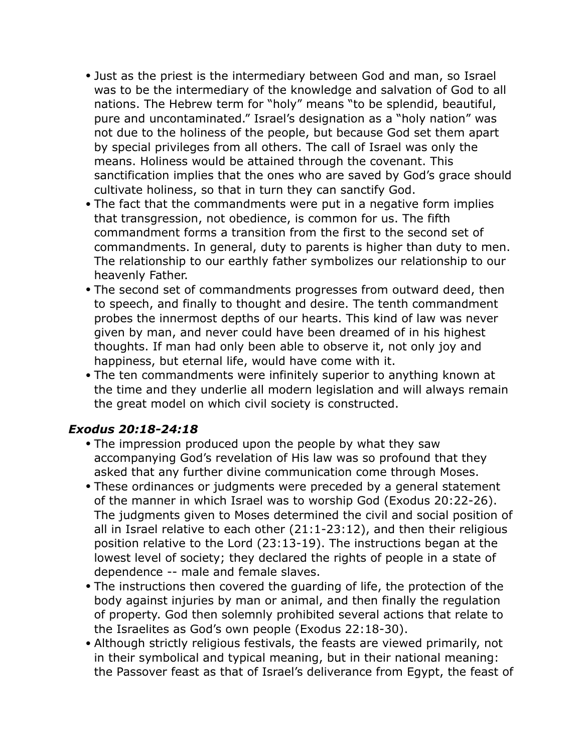- Just as the priest is the intermediary between God and man, so Israel was to be the intermediary of the knowledge and salvation of God to all nations. The Hebrew term for "holy" means "to be splendid, beautiful, pure and uncontaminated." Israel's designation as a "holy nation" was not due to the holiness of the people, but because God set them apart by special privileges from all others. The call of Israel was only the means. Holiness would be attained through the covenant. This sanctification implies that the ones who are saved by God's grace should cultivate holiness, so that in turn they can sanctify God.
- The fact that the commandments were put in a negative form implies that transgression, not obedience, is common for us. The fifth commandment forms a transition from the first to the second set of commandments. In general, duty to parents is higher than duty to men. The relationship to our earthly father symbolizes our relationship to our heavenly Father.
- The second set of commandments progresses from outward deed, then to speech, and finally to thought and desire. The tenth commandment probes the innermost depths of our hearts. This kind of law was never given by man, and never could have been dreamed of in his highest thoughts. If man had only been able to observe it, not only joy and happiness, but eternal life, would have come with it.
- The ten commandments were infinitely superior to anything known at the time and they underlie all modern legislation and will always remain the great model on which civil society is constructed.

#### *Exodus 20:18-24:18*

- The impression produced upon the people by what they saw accompanying God's revelation of His law was so profound that they asked that any further divine communication come through Moses.
- These ordinances or judgments were preceded by a general statement of the manner in which Israel was to worship God (Exodus 20:22-26). The judgments given to Moses determined the civil and social position of all in Israel relative to each other (21:1-23:12), and then their religious position relative to the Lord (23:13-19). The instructions began at the lowest level of society; they declared the rights of people in a state of dependence -- male and female slaves.
- The instructions then covered the guarding of life, the protection of the body against injuries by man or animal, and then finally the regulation of property. God then solemnly prohibited several actions that relate to the Israelites as God's own people (Exodus 22:18-30).
- Although strictly religious festivals, the feasts are viewed primarily, not in their symbolical and typical meaning, but in their national meaning: the Passover feast as that of Israel's deliverance from Egypt, the feast of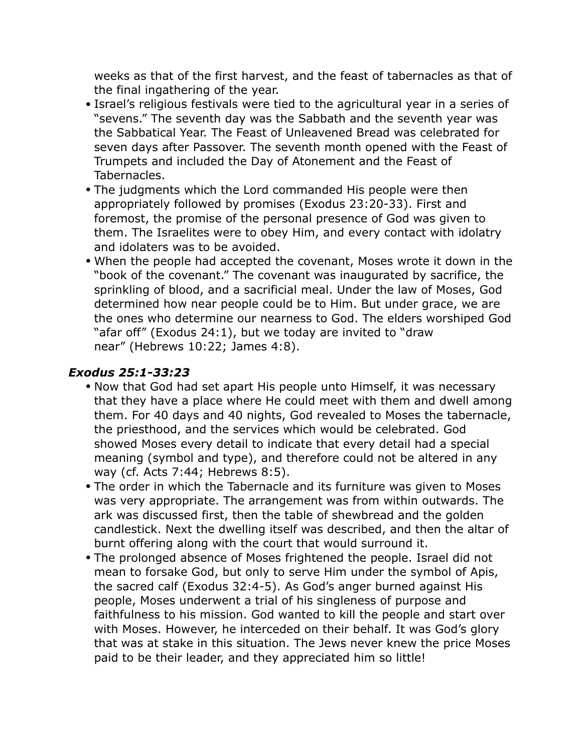weeks as that of the first harvest, and the feast of tabernacles as that of the final ingathering of the year.

- Israel's religious festivals were tied to the agricultural year in a series of "sevens." The seventh day was the Sabbath and the seventh year was the Sabbatical Year. The Feast of Unleavened Bread was celebrated for seven days after Passover. The seventh month opened with the Feast of Trumpets and included the Day of Atonement and the Feast of Tabernacles.
- The judgments which the Lord commanded His people were then appropriately followed by promises (Exodus 23:20-33). First and foremost, the promise of the personal presence of God was given to them. The Israelites were to obey Him, and every contact with idolatry and idolaters was to be avoided.
- When the people had accepted the covenant, Moses wrote it down in the "book of the covenant." The covenant was inaugurated by sacrifice, the sprinkling of blood, and a sacrificial meal. Under the law of Moses, God determined how near people could be to Him. But under grace, we are the ones who determine our nearness to God. The elders worshiped God "afar off" (Exodus 24:1), but we today are invited to "draw near" (Hebrews 10:22; James 4:8).

#### *Exodus 25:1-33:23*

- Now that God had set apart His people unto Himself, it was necessary that they have a place where He could meet with them and dwell among them. For 40 days and 40 nights, God revealed to Moses the tabernacle, the priesthood, and the services which would be celebrated. God showed Moses every detail to indicate that every detail had a special meaning (symbol and type), and therefore could not be altered in any way (cf. Acts 7:44; Hebrews 8:5).
- The order in which the Tabernacle and its furniture was given to Moses was very appropriate. The arrangement was from within outwards. The ark was discussed first, then the table of shewbread and the golden candlestick. Next the dwelling itself was described, and then the altar of burnt offering along with the court that would surround it.
- The prolonged absence of Moses frightened the people. Israel did not mean to forsake God, but only to serve Him under the symbol of Apis, the sacred calf (Exodus 32:4-5). As God's anger burned against His people, Moses underwent a trial of his singleness of purpose and faithfulness to his mission. God wanted to kill the people and start over with Moses. However, he interceded on their behalf. It was God's glory that was at stake in this situation. The Jews never knew the price Moses paid to be their leader, and they appreciated him so little!